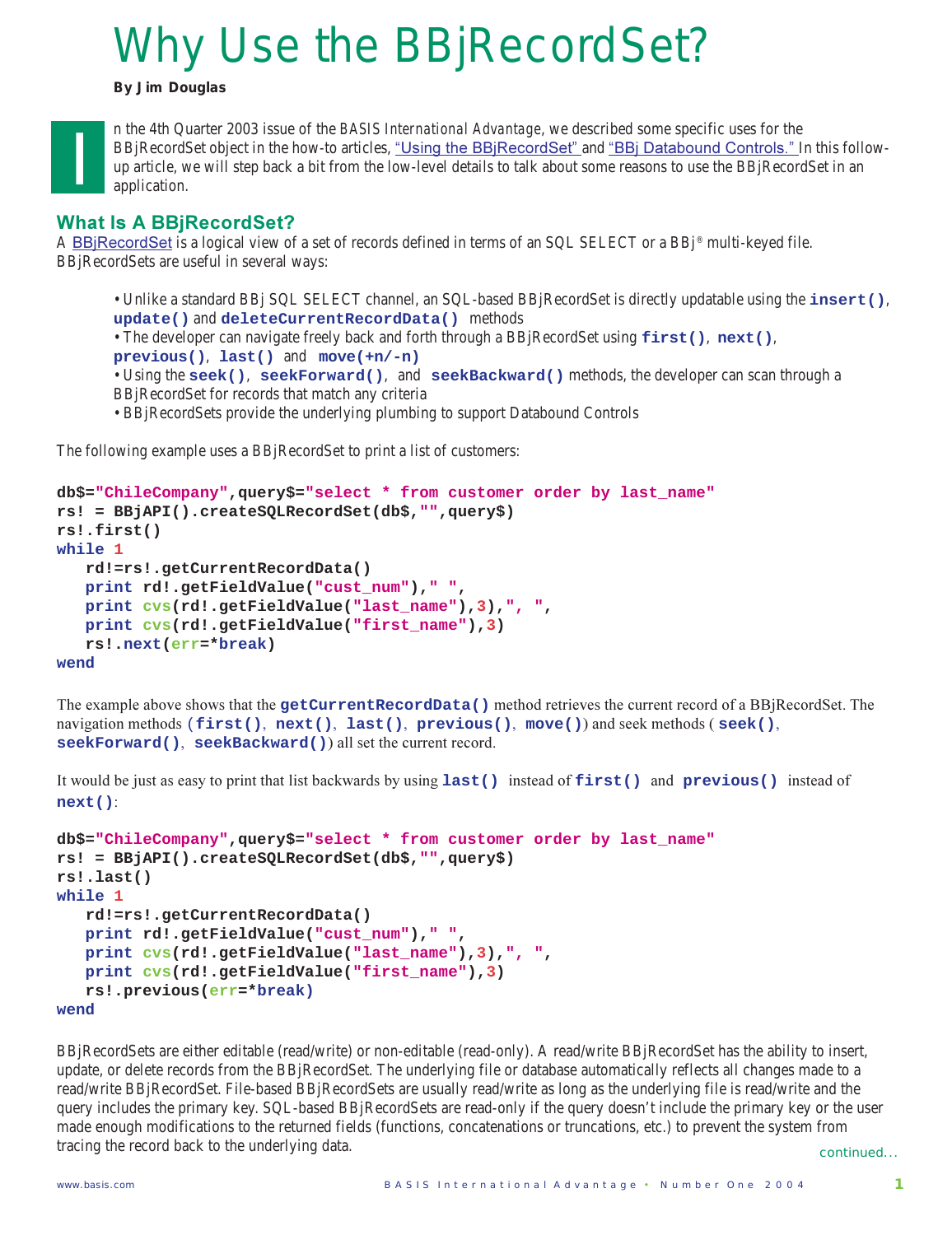# Why Use the BBjRecordSet?

*By Jim Douglas*



n the 4th Quarter 2003 issue of the *BASIS International Advantage*, we described some specific uses for the BBjRecordSet object in the how-to articles, <u>"Using the BBjRecordSet" a</u>nd <u>"BBj Databound Controls." I</u>n this followup article, we will step back a bit from the low-level details to talk about some reasons to use the BBjRecordSet in an application.

## **What Is A BBjRecordSet?**

A <u>BBjRecordSet</u> is a logical view of a set of records defined in terms of an SQL SELECT or a BBj® multi-keyed file.BBjRecordSets are useful in several ways:

- Unlike a standard BBj SQL SELECT channel, an SQL-based BBjRecordSet is directly updatable using the **insert()**, **update()** and **deleteCurrentRecordData()** methods
- The developer can navigate freely back and forth through a BBjRecordSet using **first()**, **next()**,
- **previous()**, **last()** and **move(+n/-n)**
- Using the **seek()**, **seekForward()**, and **seekBackward()** methods, the developer can scan through a BBjRecordSet for records that match any criteria
- BBjRecordSets provide the underlying plumbing to support Databound Controls

The following example uses a BBjRecordSet to print a list of customers:

```
db$="ChileCompany",query$="select * from customer order by last_name"
rs! = BBjAPI().createSQLRecordSet(db$,"",query$)
rs!.first()
while 1
    rd!=rs!.getCurrentRecordData()
    print rd!.getFieldValue("cust_num")," ",
    print cvs(rd!.getFieldValue("last_name"),3),", ",
    print cvs(rd!.getFieldValue("first_name"),3)
    rs!.next(err=*break)
wend
```
The example above shows that the getCurrentRecordData () method retrieves the current record of a BBjRecordSet. The  $\texttt{maxigation methods (first(), next(), last(), previous(), move())}$  and seek methods ( $\texttt{seek(),}$ ) seekForward(), seekBackward()) all set the current record.

It would be just as easy to print that list backwards by using last () instead of first() and previous() instead of **next()**:

```
db$="ChileCompany",query$="select * from customer order by last_name"
rs! = BBjAPI().createSQLRecordSet(db$,"",query$)
rs!.last()
while 1
    rd!=rs!.getCurrentRecordData()
    print rd!.getFieldValue("cust_num")," ",
    print cvs(rd!.getFieldValue("last_name"),3),", ",
    print cvs(rd!.getFieldValue("first_name"),3)
    rs!.previous(err=*break)
wend
```
BBjRecordSets are either editable (read/write) or non-editable (read-only). A read/write BBjRecordSet has the ability to insert, update, or delete records from the BBjRecordSet. The underlying file or database automatically reflects all changes made to a read/write BBjRecordSet. File-based BBjRecordSets are usually read/write as long as the underlying file is read/write and the query includes the primary key. SQL-based BBjRecordSets are read-only if the query doesn't include the primary key or the user made enough modifications to the returned fields (functions, concatenations or truncations, etc.) to prevent the system from tracing the record back to the underlying data.

continued...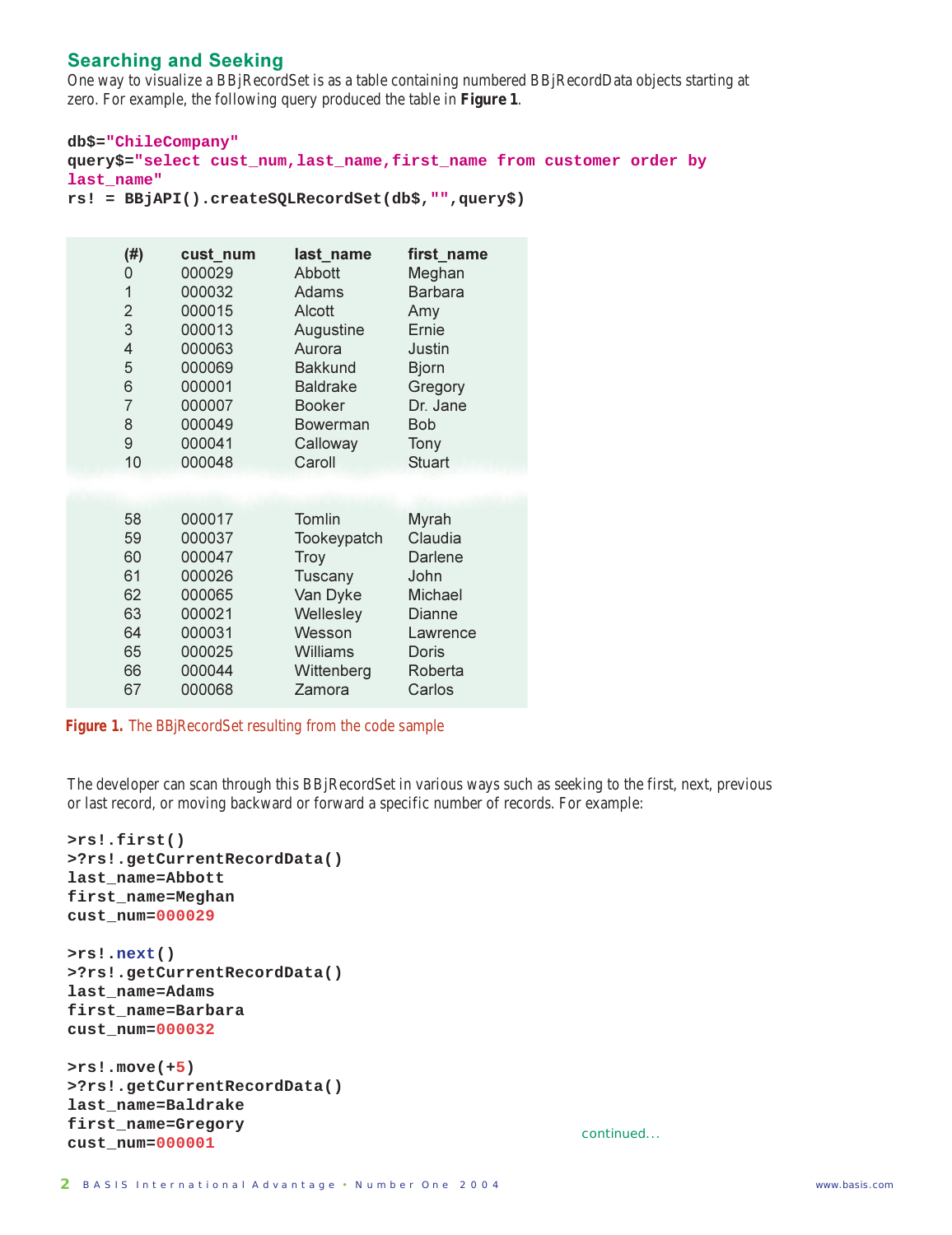#### **Searching and Seeking**

One way to visualize a BBjRecordSet is as a table containing numbered BBjRecordData objects starting at zero. For example, the following query produced the table in **Figure 1**.

```
db$="ChileCompany"
query$="select cust_num,last_name,first_name from customer order by
last_name"
rs! = BBjAPI().createSQLRecordSet(db$,"",query$)
```

| (#)            | cust_num | last name       | first name     |
|----------------|----------|-----------------|----------------|
| 0              | 000029   | Abbott          | Meghan         |
| 1              | 000032   | Adams           | <b>Barbara</b> |
| $\overline{2}$ | 000015   | Alcott          | Amy            |
| 3              | 000013   | Augustine       | Ernie          |
| 4              | 000063   | Aurora          | Justin         |
| 5              | 000069   | <b>Bakkund</b>  | <b>Bjorn</b>   |
| 6              | 000001   | <b>Baldrake</b> | Gregory        |
| $\overline{7}$ | 000007   | <b>Booker</b>   | Dr. Jane       |
| 8              | 000049   | <b>Bowerman</b> | <b>Bob</b>     |
| 9              | 000041   | Calloway        | Tony           |
| 10             | 000048   | Caroll          | <b>Stuart</b>  |
| 58             | 000017   | Tomlin          | Myrah          |
| 59             | 000037   | Tookeypatch     | Claudia        |
| 60             | 000047   | Troy            | Darlene        |
| 61             | 000026   | Tuscany         | John           |
| 62             | 000065   | Van Dyke        | Michael        |
| 63             | 000021   | Wellesley       | Dianne         |
| 64             | 000031   | Wesson          | Lawrence       |
| 65             | 000025   | Williams        | Doris          |
| 66             | 000044   | Wittenberg      | Roberta        |
| 67             | 000068   | Zamora          | Carlos         |

**Figure 1.** The BBjRecordSet resulting from the code sample

The developer can scan through this BBjRecordSet in various ways such as seeking to the first, next, previous or last record, or moving backward or forward a specific number of records. For example:

```
>rs!.first()
>?rs!.getCurrentRecordData()
last_name=Abbott
first_name=Meghan
cust_num=000029
```
**>rs!.next() >?rs!.getCurrentRecordData() last\_name=Adams first\_name=Barbara cust\_num=000032**

```
>rs!.move(+5)
>?rs!.getCurrentRecordData()
last_name=Baldrake
first_name=Gregory
cust_num=000001 continued...
```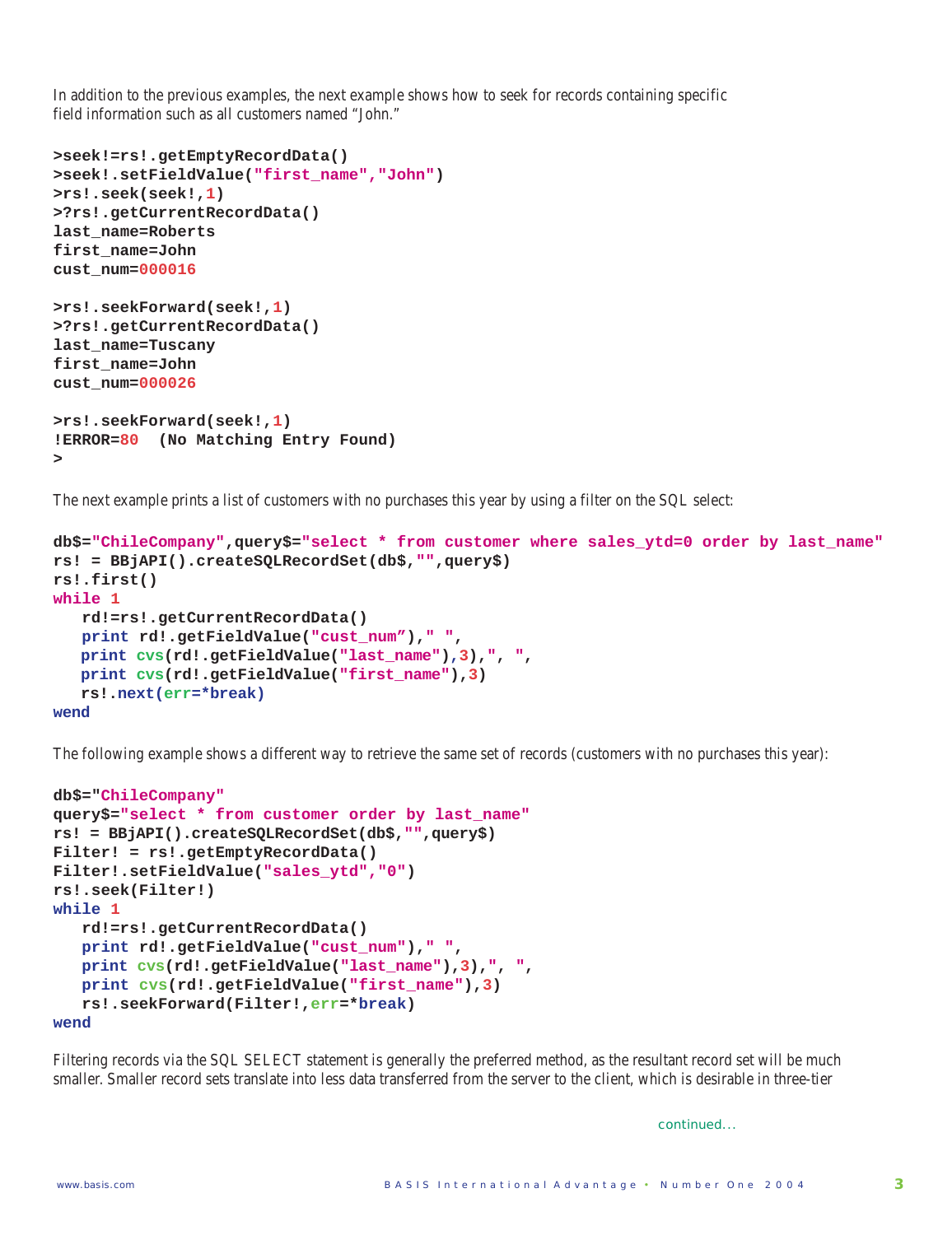In addition to the previous examples, the next example shows how to seek for records containing specific field information such as all customers named "John."

```
>seek!=rs!.getEmptyRecordData()
>seek!.setFieldValue("first_name","John")
>rs!.seek(seek!,1)
>?rs!.getCurrentRecordData()
last_name=Roberts
first_name=John
cust_num=000016
>rs!.seekForward(seek!,1)
>?rs!.getCurrentRecordData()
last_name=Tuscany
first_name=John
cust_num=000026
>rs!.seekForward(seek!,1)
!ERROR=80 (No Matching Entry Found)
>
```
The next example prints a list of customers with no purchases this year by using a filter on the SQL select:

```
db$="ChileCompany",query$="select * from customer where sales_ytd=0 order by last_name"
rs! = BBjAPI().createSQLRecordSet(db$,"",query$)
rs!.first()
while 1
    rd!=rs!.getCurrentRecordData()
    print rd!.getFieldValue("cust_num")," ",
    print cvs(rd!.getFieldValue("last_name"),3),", ",
    print cvs(rd!.getFieldValue("first_name"),3)
    rs!.next(err=*break)
wend
```
The following example shows a different way to retrieve the same set of records (customers with no purchases this year):

```
db$="ChileCompany"
query$="select * from customer order by last_name"
rs! = BBjAPI().createSQLRecordSet(db$,"",query$)
Filter! = rs!.getEmptyRecordData()
Filter!.setFieldValue("sales_ytd","0")
rs!.seek(Filter!)
while 1
    rd!=rs!.getCurrentRecordData()
    print rd!.getFieldValue("cust_num")," ",
    print cvs(rd!.getFieldValue("last_name"),3),", ",
    print cvs(rd!.getFieldValue("first_name"),3)
    rs!.seekForward(Filter!,err=*break)
wend
```
Filtering records via the SQL SELECT statement is generally the preferred method, as the resultant record set will be much smaller. Smaller record sets translate into less data transferred from the server to the client, which is desirable in three-tier

continued...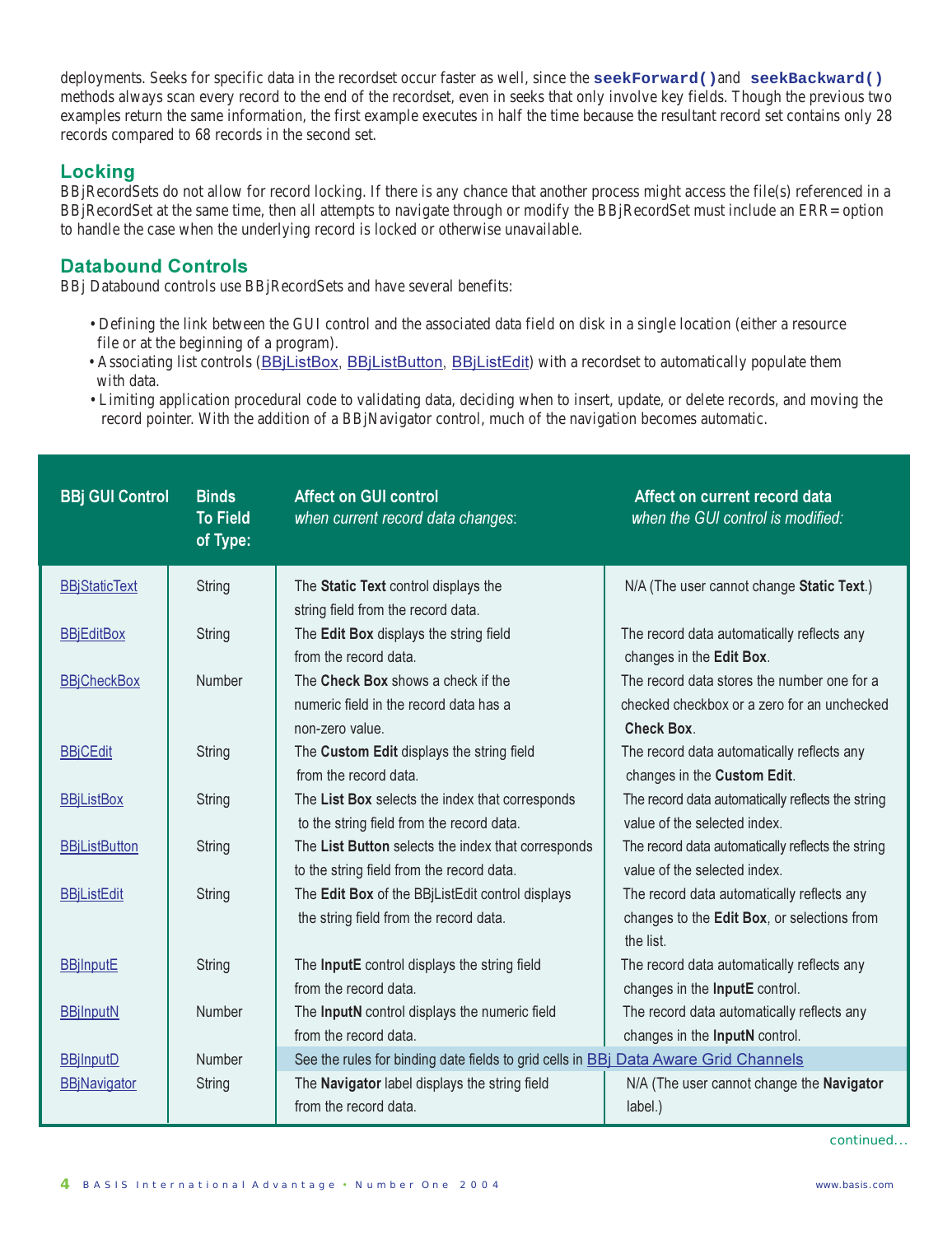deployments. Seeks for specific data in the recordset occur faster as well, since the **seekForward()**and **seekBackward()** methods always scan every record to the end of the recordset, even in seeks that only involve key fields. Though the previous two examples return the same information, the first example executes in half the time because the resultant record set contains only 28 records compared to 68 records in the second set.

#### **Locking**

BBjRecordSets do not allow for record locking. If there is any chance that another process might access the file(s) referenced in a BBjRecordSet at the same time, then all attempts to navigate through or modify the BBjRecordSet must include an ERR= option to handle the case when the underlying record is locked or otherwise unavailable.

#### **Databound Controls**

BBj Databound controls use BBjRecordSets and have several benefits:

- Defining the link between the GUI control and the associated data field on disk in a single location (either a resource file or at the beginning of a program).
- Associating list controls (BBjListBox, BBjListButton, BBjListEdit) with a recordset to automatically populate them with data.
- Limiting application procedural code to validating data, deciding when to insert, update, or delete records, and moving the record pointer. With the addition of a BBjNavigator control, much of the navigation becomes automatic.

| <b>BBj GUI Control</b> | <b>Binds</b><br><b>To Field</b><br>of Type: | <b>Affect on GUI control</b><br>when current record data changes:                               | Affect on current record data<br>when the GUI control is modified:                                              |
|------------------------|---------------------------------------------|-------------------------------------------------------------------------------------------------|-----------------------------------------------------------------------------------------------------------------|
| <b>BBjStaticText</b>   | <b>String</b>                               | The Static Text control displays the<br>string field from the record data.                      | N/A (The user cannot change Static Text.)                                                                       |
| <b>BBjEditBox</b>      | <b>String</b>                               | The Edit Box displays the string field<br>from the record data.                                 | The record data automatically reflects any<br>changes in the Edit Box.                                          |
| <b>BBjCheckBox</b>     | <b>Number</b>                               | The Check Box shows a check if the<br>numeric field in the record data has a<br>non-zero value. | The record data stores the number one for a<br>checked checkbox or a zero for an unchecked<br><b>Check Box.</b> |
| <b>BBjCEdit</b>        | <b>String</b>                               | The Custom Edit displays the string field<br>from the record data.                              | The record data automatically reflects any<br>changes in the Custom Edit.                                       |
| <b>BBiListBox</b>      | String                                      | The List Box selects the index that corresponds<br>to the string field from the record data.    | The record data automatically reflects the string<br>value of the selected index.                               |
| <b>BBiListButton</b>   | <b>String</b>                               | The List Button selects the index that corresponds<br>to the string field from the record data. | The record data automatically reflects the string<br>value of the selected index.                               |
| <b>BBiListEdit</b>     | <b>String</b>                               | The Edit Box of the BBjListEdit control displays<br>the string field from the record data.      | The record data automatically reflects any<br>changes to the Edit Box, or selections from<br>the list.          |
| <b>BBjInputE</b>       | <b>String</b>                               | The InputE control displays the string field<br>from the record data.                           | The record data automatically reflects any<br>changes in the InputE control.                                    |
| <b>BBjInputN</b>       | Number                                      | The InputN control displays the numeric field<br>from the record data.                          | The record data automatically reflects any<br>changes in the InputN control.                                    |
| <b>BBjInputD</b>       | Number                                      | See the rules for binding date fields to grid cells in <b>BBj Data Aware Grid Channels</b>      |                                                                                                                 |
| <b>BBjNavigator</b>    | <b>String</b>                               | The Navigator label displays the string field<br>from the record data.                          | N/A (The user cannot change the Navigator<br>label.)                                                            |